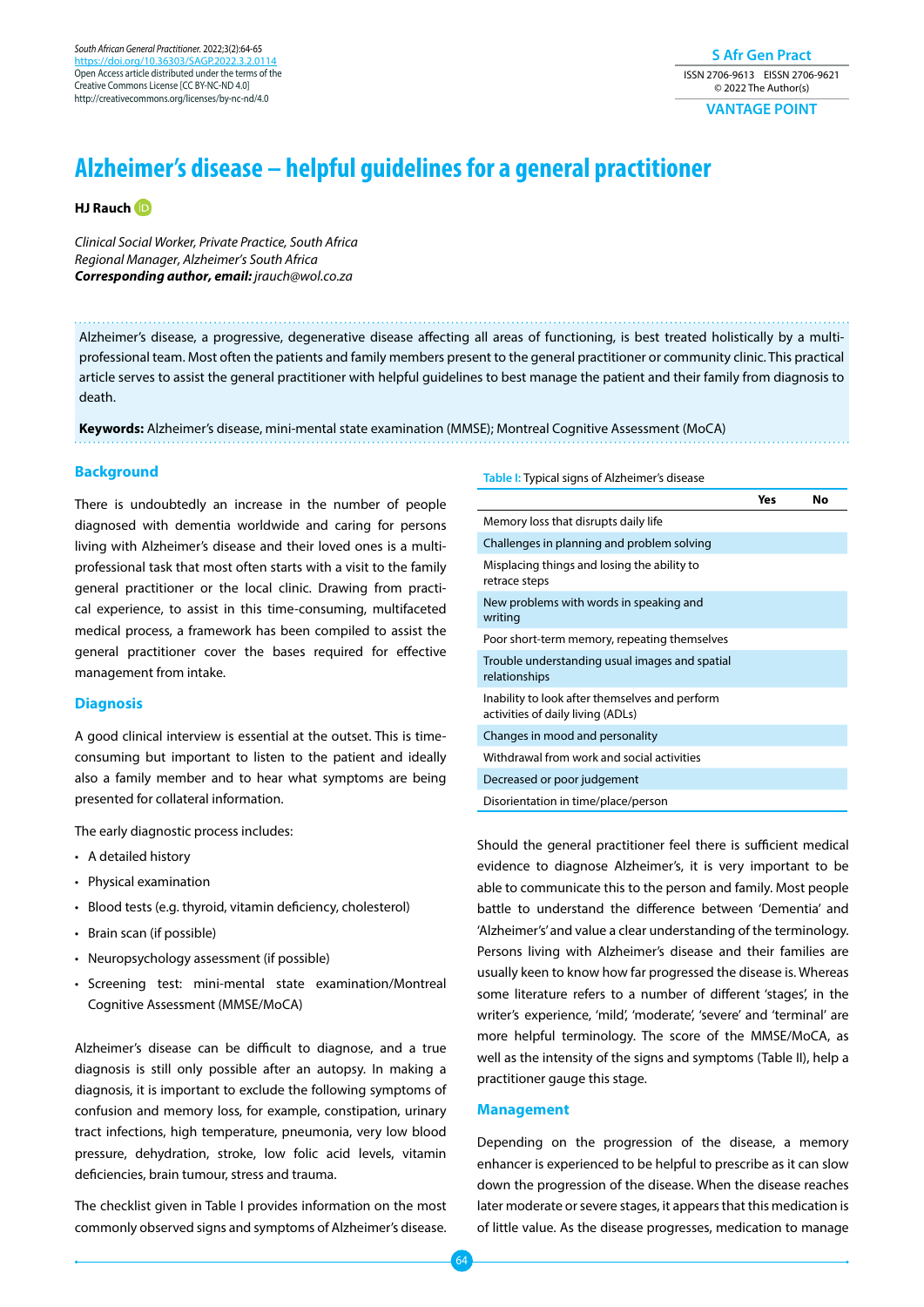**S Afr Gen Pract** ISSN 2706-9613 EISSN 2706-9621 © 2022 The Author(s)

**VANTAGE POINT**

# **Alzheimer's disease – helpful guidelines for a general practitioner**

## **HJ Rauc[h](https://orcid.org/0000-0002-1793-5748 )**

*Clinical Social Worker, Private Practice, South Africa Regional Manager, Alzheimer's South Africa Corresponding author, email:* jrauch@wol.co.za

Alzheimer's disease, a progressive, degenerative disease affecting all areas of functioning, is best treated holistically by a multiprofessional team. Most often the patients and family members present to the general practitioner or community clinic. This practical article serves to assist the general practitioner with helpful guidelines to best manage the patient and their family from diagnosis to death.

**Keywords:** Alzheimer's disease, mini-mental state examination (MMSE); Montreal Cognitive Assessment (MoCA)

# **Background**

There is undoubtedly an increase in the number of people diagnosed with dementia worldwide and caring for persons living with Alzheimer's disease and their loved ones is a multiprofessional task that most often starts with a visit to the family general practitioner or the local clinic. Drawing from practical experience, to assist in this time-consuming, multifaceted medical process, a framework has been compiled to assist the general practitioner cover the bases required for effective management from intake.

# **Diagnosis**

A good clinical interview is essential at the outset. This is timeconsuming but important to listen to the patient and ideally also a family member and to hear what symptoms are being presented for collateral information.

The early diagnostic process includes:

- A detailed history
- Physical examination
- Blood tests (e.g. thyroid, vitamin deficiency, cholesterol)
- Brain scan (if possible)
- Neuropsychology assessment (if possible)
- Screening test: mini-mental state examination/Montreal Cognitive Assessment (MMSE/MoCA)

Alzheimer's disease can be difficult to diagnose, and a true diagnosis is still only possible after an autopsy. In making a diagnosis, it is important to exclude the following symptoms of confusion and memory loss, for example, constipation, urinary tract infections, high temperature, pneumonia, very low blood pressure, dehydration, stroke, low folic acid levels, vitamin deficiencies, brain tumour, stress and trauma.

The checklist given in Table I provides information on the most commonly observed signs and symptoms of Alzheimer's disease.

#### **Table I:** Typical signs of Alzheimer's disease

|                                                                                     | Yes | No |
|-------------------------------------------------------------------------------------|-----|----|
| Memory loss that disrupts daily life                                                |     |    |
| Challenges in planning and problem solving                                          |     |    |
| Misplacing things and losing the ability to<br>retrace steps                        |     |    |
| New problems with words in speaking and<br>writing                                  |     |    |
| Poor short-term memory, repeating themselves                                        |     |    |
| Trouble understanding usual images and spatial<br>relationships                     |     |    |
| Inability to look after themselves and perform<br>activities of daily living (ADLs) |     |    |
| Changes in mood and personality                                                     |     |    |
| Withdrawal from work and social activities                                          |     |    |
| Decreased or poor judgement                                                         |     |    |
| Disorientation in time/place/person                                                 |     |    |

Should the general practitioner feel there is sufficient medical evidence to diagnose Alzheimer's, it is very important to be able to communicate this to the person and family. Most people battle to understand the difference between 'Dementia' and 'Alzheimer's' and value a clear understanding of the terminology. Persons living with Alzheimer's disease and their families are usually keen to know how far progressed the disease is. Whereas some literature refers to a number of different 'stages', in the writer's experience, 'mild', 'moderate', 'severe' and 'terminal' are more helpful terminology. The score of the MMSE/MoCA, as well as the intensity of the signs and symptoms (Table II), help a practitioner gauge this stage.

#### **Management**

Depending on the progression of the disease, a memory enhancer is experienced to be helpful to prescribe as it can slow down the progression of the disease. When the disease reaches later moderate or severe stages, it appears that this medication is of little value. As the disease progresses, medication to manage